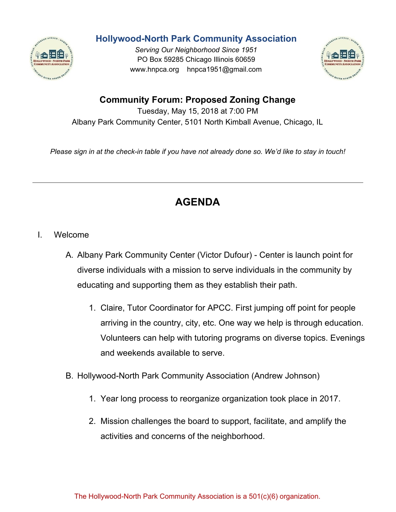

## **Hollywood-North Park Community Association**

*Serving Our Neighborhood Since 1951* PO Box 59285 Chicago Illinois 60659 www.hnpca.org hnpca1951@gmail.com



## **Community Forum: Proposed Zoning Change**

Tuesday, May 15, 2018 at 7:00 PM Albany Park Community Center, 5101 North Kimball Avenue, Chicago, IL

Please sign in at the check-in table if you have not already done so. We'd like to stay in touch!

## **AGENDA**

- I. Welcome
	- A. Albany Park Community Center (Victor Dufour) Center is launch point for diverse individuals with a mission to serve individuals in the community by educating and supporting them as they establish their path.
		- 1. Claire, Tutor Coordinator for APCC. First jumping off point for people arriving in the country, city, etc. One way we help is through education. Volunteers can help with tutoring programs on diverse topics. Evenings and weekends available to serve.
	- B. Hollywood-North Park Community Association (Andrew Johnson)
		- 1. Year long process to reorganize organization took place in 2017.
		- 2. Mission challenges the board to support, facilitate, and amplify the activities and concerns of the neighborhood.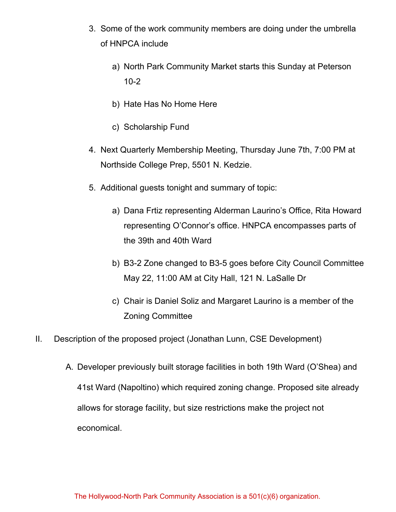- 3. Some of the work community members are doing under the umbrella of HNPCA include
	- a) North Park Community Market starts this Sunday at Peterson 10-2
	- b) Hate Has No Home Here
	- c) Scholarship Fund
- 4. Next Quarterly Membership Meeting, Thursday June 7th, 7:00 PM at Northside College Prep, 5501 N. Kedzie.
- 5. Additional guests tonight and summary of topic:
	- a) Dana Frtiz representing Alderman Laurino's Office, Rita Howard representing O'Connor's office. HNPCA encompasses parts of the 39th and 40th Ward
	- b) B3-2 Zone changed to B3-5 goes before City Council Committee May 22, 11:00 AM at City Hall, 121 N. LaSalle Dr
	- c) Chair is Daniel Soliz and Margaret Laurino is a member of the Zoning Committee
- II. Description of the proposed project (Jonathan Lunn, CSE Development)
	- A. Developer previously built storage facilities in both 19th Ward (O'Shea) and 41st Ward (Napoltino) which required zoning change. Proposed site already allows for storage facility, but size restrictions make the project not economical.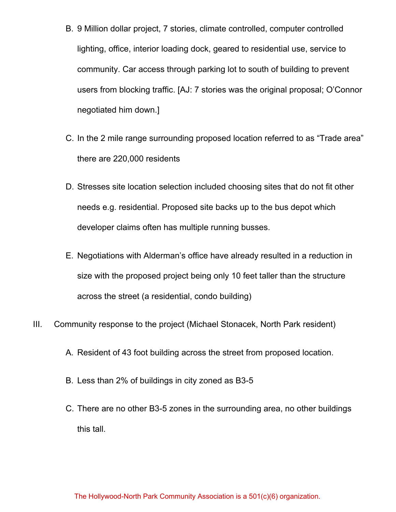- B. 9 Million dollar project, 7 stories, climate controlled, computer controlled lighting, office, interior loading dock, geared to residential use, service to community. Car access through parking lot to south of building to prevent users from blocking traffic. [AJ: 7 stories was the original proposal; O'Connor negotiated him down.]
- C. In the 2 mile range surrounding proposed location referred to as "Trade area" there are 220,000 residents
- D. Stresses site location selection included choosing sites that do not fit other needs e.g. residential. Proposed site backs up to the bus depot which developer claims often has multiple running busses.
- E. Negotiations with Alderman's office have already resulted in a reduction in size with the proposed project being only 10 feet taller than the structure across the street (a residential, condo building)
- III. Community response to the project (Michael Stonacek, North Park resident)
	- A. Resident of 43 foot building across the street from proposed location.
	- B. Less than 2% of buildings in city zoned as B3-5
	- C. There are no other B3-5 zones in the surrounding area, no other buildings this tall.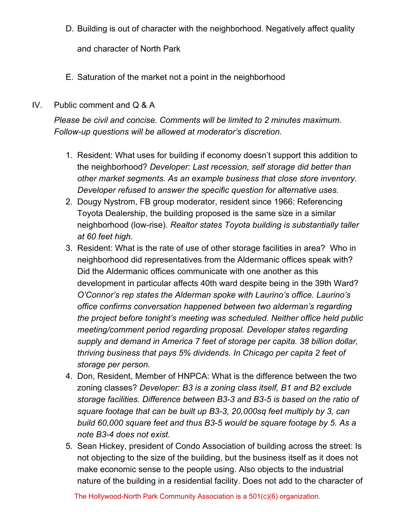D. Building is out of character with the neighborhood. Negatively affect quality

and character of North Park

- E. Saturation of the market not a point in the neighborhood
- IV. Public comment and Q & A

*Please be civil and concise. Comments will be limited to 2 minutes maximum. Follow-up questions will be allowed at moderator's discretion.*

- 1. Resident: What uses for building if economy doesn't support this addition to the neighborhood? *Developer: Last recession, self storage did better than other market segments. As an example business that close store inventory. Developer refused to answer the specific question for alternative uses.*
- 2. Dougy Nystrom, FB group moderator, resident since 1966: Referencing Toyota Dealership, the building proposed is the same size in a similar neighborhood (low-rise). *Realtor states Toyota building is substantially taller at 60 feet high.*
- 3. Resident: What is the rate of use of other storage facilities in area? Who in neighborhood did representatives from the Aldermanic offices speak with? Did the Aldermanic offices communicate with one another as this development in particular affects 40th ward despite being in the 39th Ward? *O'Connor's rep states the Alderman spoke with Laurino's office. Laurino's office confirms conversation happened between two alderman's regarding the project before tonight's meeting was scheduled. Neither office held public meeting/comment period regarding proposal. Developer states regarding supply and demand in America 7 feet of storage per capita. 38 billion dollar, thriving business that pays 5% dividends. In Chicago per capita 2 feet of storage per person.*
- 4. Don, Resident, Member of HNPCA: What is the difference between the two zoning classes? *Developer: B3 is a zoning class itself, B1 and B2 exclude storage facilities. Difference between B3-3 and B3-5 is based on the ratio of square footage that can be built up B3-3, 20,000sq feet multiply by 3, can build 60,000 square feet and thus B3-5 would be square footage by 5. As a note B3-4 does not exist.*
- 5. Sean Hickey, president of Condo Association of building across the street: Is not objecting to the size of the building, but the business itself as it does not make economic sense to the people using. Also objects to the industrial nature of the building in a residential facility. Does not add to the character of

The Hollywood-North Park Community Association is a 501(c)(6) organization.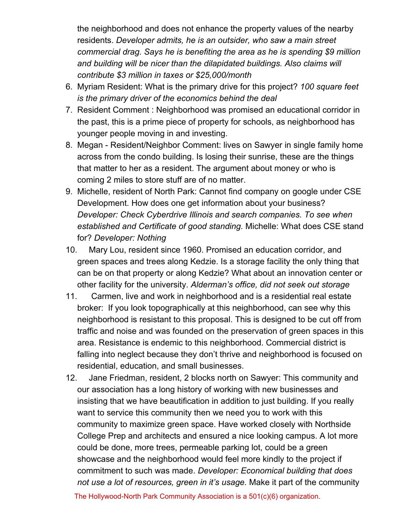the neighborhood and does not enhance the property values of the nearby residents. *Developer admits, he is an outsider, who saw a main street commercial drag. Says he is benefiting the area as he is spending \$9 million and building will be nicer than the dilapidated buildings. Also claims will contribute \$3 million in taxes or \$25,000/month*

- 6. Myriam Resident: What is the primary drive for this project? *100 square feet is the primary driver of the economics behind the deal*
- 7. Resident Comment : Neighborhood was promised an educational corridor in the past, this is a prime piece of property for schools, as neighborhood has younger people moving in and investing.
- 8. Megan Resident/Neighbor Comment: lives on Sawyer in single family home across from the condo building. Is losing their sunrise, these are the things that matter to her as a resident. The argument about money or who is coming 2 miles to store stuff are of no matter.
- 9. Michelle, resident of North Park: Cannot find company on google under CSE Development. How does one get information about your business? *Developer: Check Cyberdrive Illinois and search companies. To see when established and Certificate of good standing.* Michelle: What does CSE stand for? *Developer: Nothing*
- 10. Mary Lou, resident since 1960. Promised an education corridor, and green spaces and trees along Kedzie. Is a storage facility the only thing that can be on that property or along Kedzie? What about an innovation center or other facility for the university. *Alderman's office, did not seek out storage*
- 11. Carmen, live and work in neighborhood and is a residential real estate broker: If you look topographically at this neighborhood, can see why this neighborhood is resistant to this proposal. This is designed to be cut off from traffic and noise and was founded on the preservation of green spaces in this area. Resistance is endemic to this neighborhood. Commercial district is falling into neglect because they don't thrive and neighborhood is focused on residential, education, and small businesses.
- 12. Jane Friedman, resident, 2 blocks north on Sawyer: This community and our association has a long history of working with new businesses and insisting that we have beautification in addition to just building. If you really want to service this community then we need you to work with this community to maximize green space. Have worked closely with Northside College Prep and architects and ensured a nice looking campus. A lot more could be done, more trees, permeable parking lot, could be a green showcase and the neighborhood would feel more kindly to the project if commitment to such was made. *Developer: Economical building that does not use a lot of resources, green in it's usage.* Make it part of the community

The Hollywood-North Park Community Association is a 501(c)(6) organization.